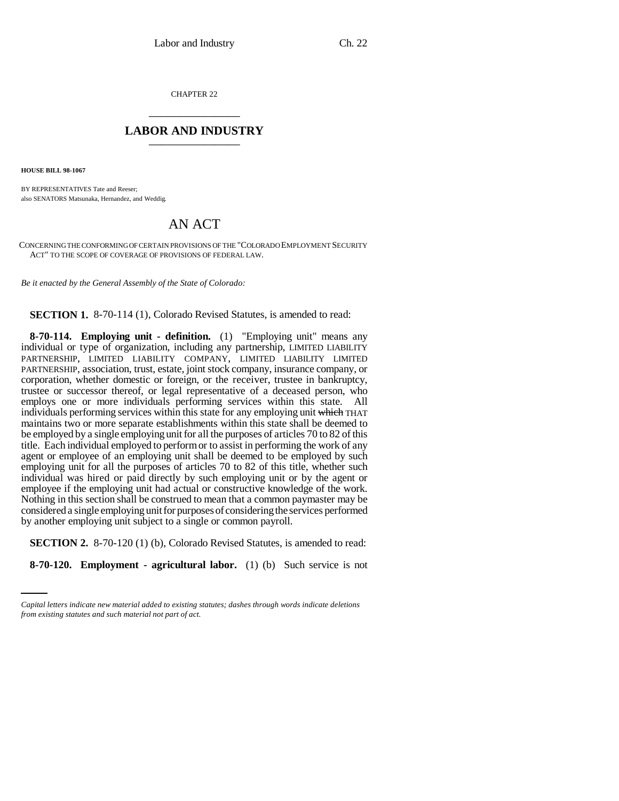CHAPTER 22 \_\_\_\_\_\_\_\_\_\_\_\_\_\_\_

## **LABOR AND INDUSTRY** \_\_\_\_\_\_\_\_\_\_\_\_\_\_\_

**HOUSE BILL 98-1067**

BY REPRESENTATIVES Tate and Reeser; also SENATORS Matsunaka, Hernandez, and Weddig.

## AN ACT

CONCERNING THE CONFORMING OF CERTAIN PROVISIONS OF THE "COLORADO EMPLOYMENT SECURITY ACT" TO THE SCOPE OF COVERAGE OF PROVISIONS OF FEDERAL LAW.

*Be it enacted by the General Assembly of the State of Colorado:*

**SECTION 1.** 8-70-114 (1), Colorado Revised Statutes, is amended to read:

**8-70-114. Employing unit - definition.** (1) "Employing unit" means any individual or type of organization, including any partnership, LIMITED LIABILITY PARTNERSHIP, LIMITED LIABILITY COMPANY, LIMITED LIABILITY LIMITED PARTNERSHIP, association, trust, estate, joint stock company, insurance company, or corporation, whether domestic or foreign, or the receiver, trustee in bankruptcy, trustee or successor thereof, or legal representative of a deceased person, who employs one or more individuals performing services within this state. All individuals performing services within this state for any employing unit which THAT maintains two or more separate establishments within this state shall be deemed to be employed by a single employing unit for all the purposes of articles 70 to 82 of this title. Each individual employed to perform or to assist in performing the work of any agent or employee of an employing unit shall be deemed to be employed by such employing unit for all the purposes of articles 70 to 82 of this title, whether such individual was hired or paid directly by such employing unit or by the agent or employee if the employing unit had actual or constructive knowledge of the work. Nothing in this section shall be construed to mean that a common paymaster may be considered a single employing unit for purposes of considering the services performed by another employing unit subject to a single or common payroll.

**SECTION 2.** 8-70-120 (1) (b), Colorado Revised Statutes, is amended to read:

**8-70-120. Employment - agricultural labor.** (1) (b) Such service is not

*Capital letters indicate new material added to existing statutes; dashes through words indicate deletions from existing statutes and such material not part of act.*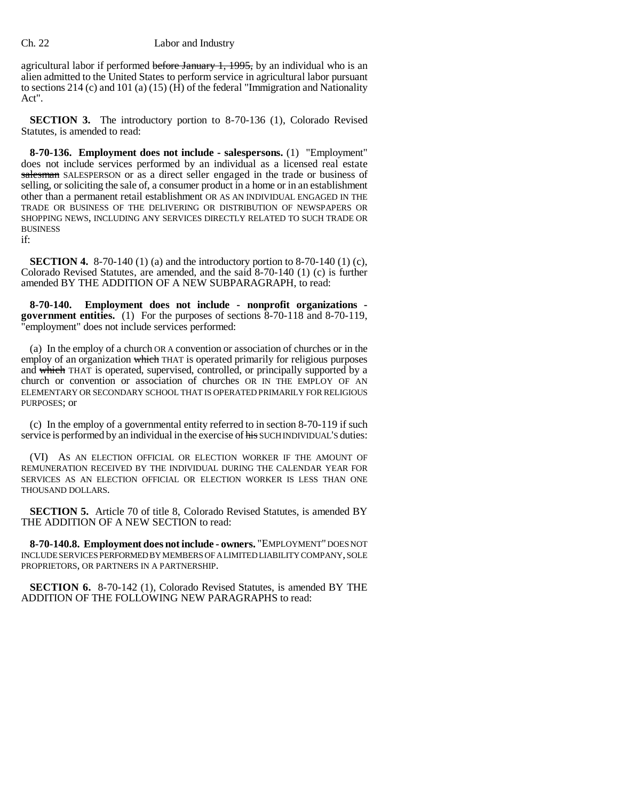agricultural labor if performed before January 1, 1995, by an individual who is an alien admitted to the United States to perform service in agricultural labor pursuant to sections 214 (c) and 101 (a)  $(15)$  (H) of the federal "Immigration and Nationality Act".

**SECTION 3.** The introductory portion to 8-70-136 (1), Colorado Revised Statutes, is amended to read:

**8-70-136. Employment does not include - salespersons.** (1) "Employment" does not include services performed by an individual as a licensed real estate salesman SALESPERSON or as a direct seller engaged in the trade or business of selling, or soliciting the sale of, a consumer product in a home or in an establishment other than a permanent retail establishment OR AS AN INDIVIDUAL ENGAGED IN THE TRADE OR BUSINESS OF THE DELIVERING OR DISTRIBUTION OF NEWSPAPERS OR SHOPPING NEWS, INCLUDING ANY SERVICES DIRECTLY RELATED TO SUCH TRADE OR BUSINESS

if:

**SECTION 4.** 8-70-140 (1) (a) and the introductory portion to 8-70-140 (1) (c), Colorado Revised Statutes, are amended, and the said 8-70-140 (1) (c) is further amended BY THE ADDITION OF A NEW SUBPARAGRAPH, to read:

**8-70-140. Employment does not include - nonprofit organizations government entities.** (1) For the purposes of sections 8-70-118 and 8-70-119, "employment" does not include services performed:

(a) In the employ of a church OR A convention or association of churches or in the employ of an organization which THAT is operated primarily for religious purposes and which THAT is operated, supervised, controlled, or principally supported by a church or convention or association of churches OR IN THE EMPLOY OF AN ELEMENTARY OR SECONDARY SCHOOL THAT IS OPERATED PRIMARILY FOR RELIGIOUS PURPOSES; or

(c) In the employ of a governmental entity referred to in section 8-70-119 if such service is performed by an individual in the exercise of his SUCH INDIVIDUAL'S duties:

(VI) AS AN ELECTION OFFICIAL OR ELECTION WORKER IF THE AMOUNT OF REMUNERATION RECEIVED BY THE INDIVIDUAL DURING THE CALENDAR YEAR FOR SERVICES AS AN ELECTION OFFICIAL OR ELECTION WORKER IS LESS THAN ONE THOUSAND DOLLARS.

**SECTION 5.** Article 70 of title 8, Colorado Revised Statutes, is amended BY THE ADDITION OF A NEW SECTION to read:

**8-70-140.8. Employment does not include - owners.** "EMPLOYMENT" DOES NOT INCLUDE SERVICES PERFORMED BY MEMBERS OF A LIMITED LIABILITY COMPANY, SOLE PROPRIETORS, OR PARTNERS IN A PARTNERSHIP.

**SECTION 6.** 8-70-142 (1), Colorado Revised Statutes, is amended BY THE ADDITION OF THE FOLLOWING NEW PARAGRAPHS to read: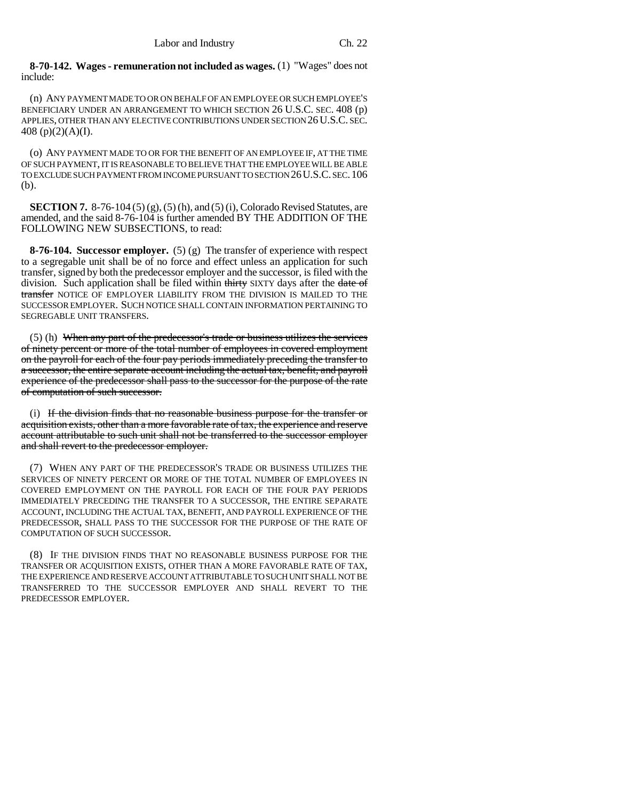**8-70-142. Wages - remuneration not included as wages.** (1) "Wages" does not include:

(n) ANY PAYMENT MADE TO OR ON BEHALF OF AN EMPLOYEE OR SUCH EMPLOYEE'S BENEFICIARY UNDER AN ARRANGEMENT TO WHICH SECTION 26 U.S.C. SEC. 408 (p) APPLIES, OTHER THAN ANY ELECTIVE CONTRIBUTIONS UNDER SECTION 26U.S.C. SEC. 408 (p)(2)(A)(I).

(o) ANY PAYMENT MADE TO OR FOR THE BENEFIT OF AN EMPLOYEE IF, AT THE TIME OF SUCH PAYMENT, IT IS REASONABLE TO BELIEVE THAT THE EMPLOYEE WILL BE ABLE TO EXCLUDE SUCH PAYMENT FROM INCOME PURSUANT TO SECTION 26U.S.C. SEC.106 (b).

**SECTION 7.** 8-76-104 (5) (g), (5) (h), and (5) (i), Colorado Revised Statutes, are amended, and the said 8-76-104 is further amended BY THE ADDITION OF THE FOLLOWING NEW SUBSECTIONS, to read:

**8-76-104. Successor employer.** (5) (g) The transfer of experience with respect to a segregable unit shall be of no force and effect unless an application for such transfer, signed by both the predecessor employer and the successor, is filed with the division. Such application shall be filed within thirty SIXTY days after the date of transfer NOTICE OF EMPLOYER LIABILITY FROM THE DIVISION IS MAILED TO THE SUCCESSOR EMPLOYER. SUCH NOTICE SHALL CONTAIN INFORMATION PERTAINING TO SEGREGABLE UNIT TRANSFERS.

(5) (h) When any part of the predecessor's trade or business utilizes the services of ninety percent or more of the total number of employees in covered employment on the payroll for each of the four pay periods immediately preceding the transfer to a successor, the entire separate account including the actual tax, benefit, and payroll experience of the predecessor shall pass to the successor for the purpose of the rate of computation of such successor.

(i) If the division finds that no reasonable business purpose for the transfer or acquisition exists, other than a more favorable rate of tax, the experience and reserve account attributable to such unit shall not be transferred to the successor employer and shall revert to the predecessor employer.

(7) WHEN ANY PART OF THE PREDECESSOR'S TRADE OR BUSINESS UTILIZES THE SERVICES OF NINETY PERCENT OR MORE OF THE TOTAL NUMBER OF EMPLOYEES IN COVERED EMPLOYMENT ON THE PAYROLL FOR EACH OF THE FOUR PAY PERIODS IMMEDIATELY PRECEDING THE TRANSFER TO A SUCCESSOR, THE ENTIRE SEPARATE ACCOUNT, INCLUDING THE ACTUAL TAX, BENEFIT, AND PAYROLL EXPERIENCE OF THE PREDECESSOR, SHALL PASS TO THE SUCCESSOR FOR THE PURPOSE OF THE RATE OF COMPUTATION OF SUCH SUCCESSOR.

(8) IF THE DIVISION FINDS THAT NO REASONABLE BUSINESS PURPOSE FOR THE TRANSFER OR ACQUISITION EXISTS, OTHER THAN A MORE FAVORABLE RATE OF TAX, THE EXPERIENCE AND RESERVE ACCOUNT ATTRIBUTABLE TO SUCH UNIT SHALL NOT BE TRANSFERRED TO THE SUCCESSOR EMPLOYER AND SHALL REVERT TO THE PREDECESSOR EMPLOYER.